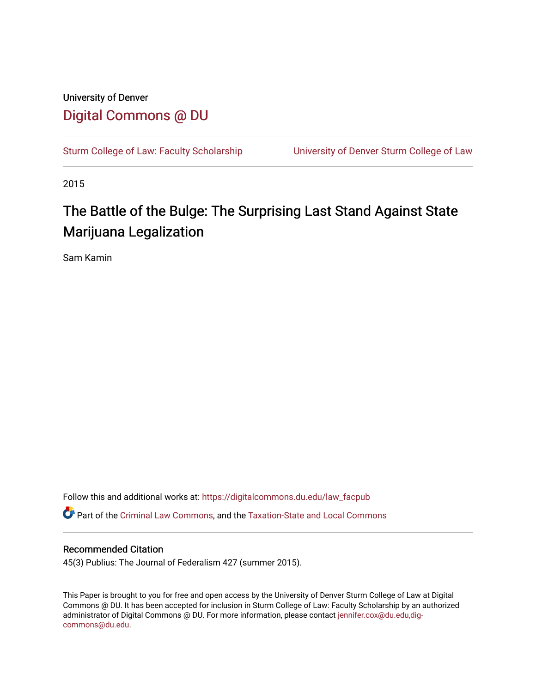# University of Denver [Digital Commons @ DU](https://digitalcommons.du.edu/)

[Sturm College of Law: Faculty Scholarship](https://digitalcommons.du.edu/law_facpub) [University of Denver Sturm College of Law](https://digitalcommons.du.edu/denver_law) 

2015

# The Battle of the Bulge: The Surprising Last Stand Against State Marijuana Legalization

Sam Kamin

Follow this and additional works at: [https://digitalcommons.du.edu/law\\_facpub](https://digitalcommons.du.edu/law_facpub?utm_source=digitalcommons.du.edu%2Flaw_facpub%2F37&utm_medium=PDF&utm_campaign=PDFCoverPages)  Part of the [Criminal Law Commons,](http://network.bepress.com/hgg/discipline/912?utm_source=digitalcommons.du.edu%2Flaw_facpub%2F37&utm_medium=PDF&utm_campaign=PDFCoverPages) and the [Taxation-State and Local Commons](http://network.bepress.com/hgg/discipline/882?utm_source=digitalcommons.du.edu%2Flaw_facpub%2F37&utm_medium=PDF&utm_campaign=PDFCoverPages) 

# Recommended Citation

45(3) Publius: The Journal of Federalism 427 (summer 2015).

This Paper is brought to you for free and open access by the University of Denver Sturm College of Law at Digital Commons @ DU. It has been accepted for inclusion in Sturm College of Law: Faculty Scholarship by an authorized administrator of Digital Commons @ DU. For more information, please contact [jennifer.cox@du.edu,dig](mailto:jennifer.cox@du.edu,dig-commons@du.edu)[commons@du.edu.](mailto:jennifer.cox@du.edu,dig-commons@du.edu)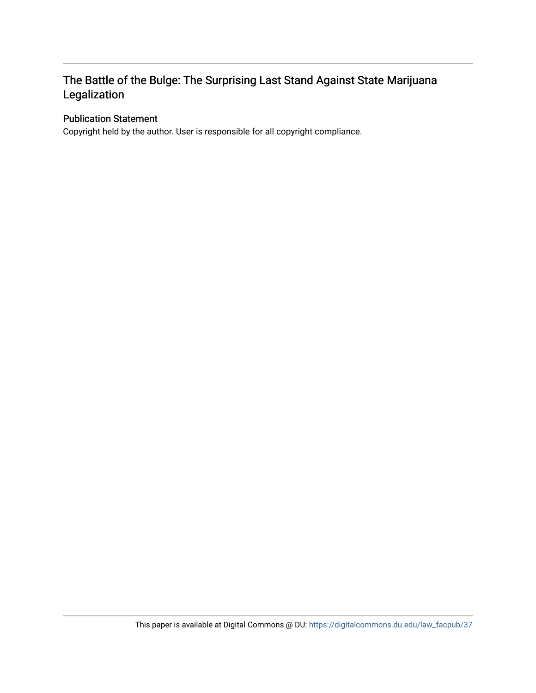# The Battle of the Bulge: The Surprising Last Stand Against State Marijuana Legalization

# Publication Statement

Copyright held by the author. User is responsible for all copyright compliance.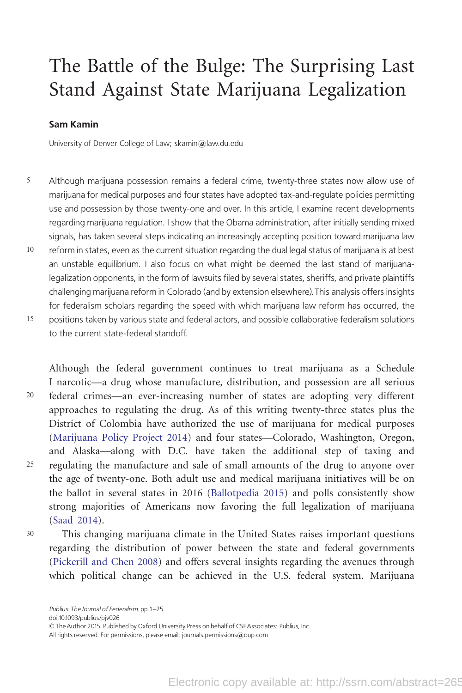# The Battle of the Bulge: The Surprising Last Stand Against State Marijuana Legalization

### Sam Kamin

University of Denver College of Law; skamin@law.du.edu

- 5 Although marijuana possession remains a federal crime, twenty-three states now allow use of marijuana for medical purposes and four states have adopted tax-and-regulate policies permitting use and possession by those twenty-one and over. In this article, I examine recent developments regarding marijuana regulation. I show that the Obama administration, after initially sending mixed signals, has taken several steps indicating an increasingly accepting position toward marijuana law 10 reform in states, even as the current situation regarding the dual legal status of marijuana is at best an unstable equilibrium. I also focus on what might be deemed the last stand of marijuanalegalization opponents, in the form of lawsuits filed by several states, sheriffs, and private plaintiffs
- challenging marijuana reform in Colorado (and by extension elsewhere).This analysis offers insights for federalism scholars regarding the speed with which marijuana law reform has occurred, the 15 positions taken by various state and federal actors, and possible collaborative federalism solutions
	- to the current state-federal standoff.

Although the federal government continues to treat marijuana as a Schedule I narcotic—a drug whose manufacture, distribution, and possession are all serious 20 federal crimes—an ever-increasing number of states are adopting very different approaches to regulating the drug. As of this writing twenty-three states plus the District of Colombia have authorized the use of marijuana for medical purposes ([Marijuana Policy Project 2014](#page-25-0)) and four states—Colorado, Washington, Oregon, and Alaska—along with D.C. have taken the additional step of taxing and <sup>25</sup> regulating the manufacture and sale of small amounts of the drug to anyone over the age of twenty-one. Both adult use and medical marijuana initiatives will be on the ballot in several states in 2016 [\(Ballotpedia 2015\)](#page-23-0) and polls consistently show strong majorities of Americans now favoring the full legalization of marijuana ([Saad 2014](#page-25-0)).

<sup>30</sup> This changing marijuana climate in the United States raises important questions regarding the distribution of power between the state and federal governments ([Pickerill and Chen 2008\)](#page-25-0) and offers several insights regarding the avenues through which political change can be achieved in the U.S. federal system. Marijuana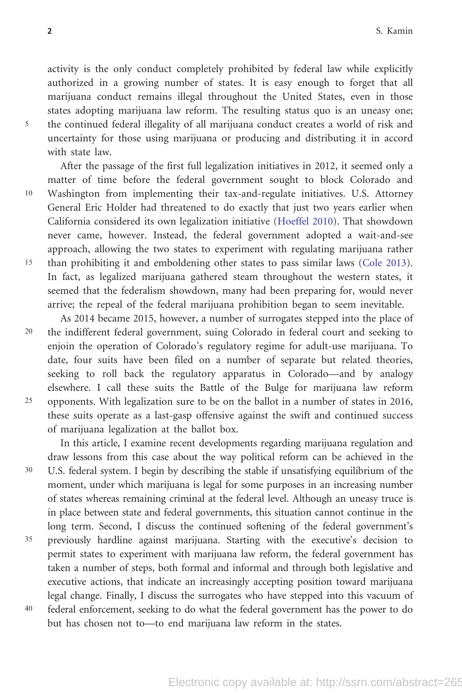activity is the only conduct completely prohibited by federal law while explicitly authorized in a growing number of states. It is easy enough to forget that all marijuana conduct remains illegal throughout the United States, even in those states adopting marijuana law reform. The resulting status quo is an uneasy one; <sup>5</sup> the continued federal illegality of all marijuana conduct creates a world of risk and uncertainty for those using marijuana or producing and distributing it in accord with state law.

After the passage of the first full legalization initiatives in 2012, it seemed only a matter of time before the federal government sought to block Colorado and 10 Washington from implementing their tax-and-regulate initiatives. U.S. Attorney General Eric Holder had threatened to do exactly that just two years earlier when California considered its own legalization initiative [\(Hoeffel 2010](#page-24-0)). That showdown never came, however. Instead, the federal government adopted a wait-and-see approach, allowing the two states to experiment with regulating marijuana rather 15 than prohibiting it and emboldening other states to pass similar laws ([Cole 2013](#page-24-0)). In fact, as legalized marijuana gathered steam throughout the western states, it seemed that the federalism showdown, many had been preparing for, would never arrive; the repeal of the federal marijuana prohibition began to seem inevitable.

As 2014 became 2015, however, a number of surrogates stepped into the place of 20 the indifferent federal government, suing Colorado in federal court and seeking to enjoin the operation of Colorado's regulatory regime for adult-use marijuana. To date, four suits have been filed on a number of separate but related theories, seeking to roll back the regulatory apparatus in Colorado—and by analogy elsewhere. I call these suits the Battle of the Bulge for marijuana law reform 25 opponents. With legalization sure to be on the ballot in a number of states in 2016, these suits operate as a last-gasp offensive against the swift and continued success of marijuana legalization at the ballot box.

In this article, I examine recent developments regarding marijuana regulation and draw lessons from this case about the way political reform can be achieved in the <sup>30</sup> U.S. federal system. I begin by describing the stable if unsatisfying equilibrium of the moment, under which marijuana is legal for some purposes in an increasing number of states whereas remaining criminal at the federal level. Although an uneasy truce is in place between state and federal governments, this situation cannot continue in the long term. Second, I discuss the continued softening of the federal government's <sup>35</sup> previously hardline against marijuana. Starting with the executive's decision to permit states to experiment with marijuana law reform, the federal government has taken a number of steps, both formal and informal and through both legislative and executive actions, that indicate an increasingly accepting position toward marijuana legal change. Finally, I discuss the surrogates who have stepped into this vacuum of <sup>40</sup> federal enforcement, seeking to do what the federal government has the power to do but has chosen not to—to end marijuana law reform in the states.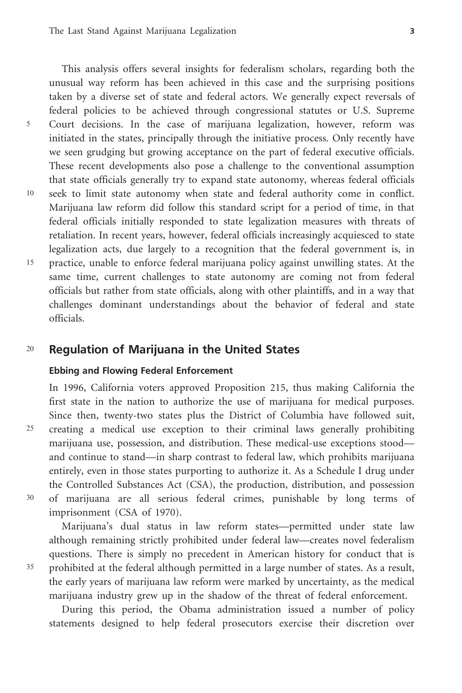This analysis offers several insights for federalism scholars, regarding both the unusual way reform has been achieved in this case and the surprising positions taken by a diverse set of state and federal actors. We generally expect reversals of federal policies to be achieved through congressional statutes or U.S. Supreme <sup>5</sup> Court decisions. In the case of marijuana legalization, however, reform was initiated in the states, principally through the initiative process. Only recently have we seen grudging but growing acceptance on the part of federal executive officials. These recent developments also pose a challenge to the conventional assumption that state officials generally try to expand state autonomy, whereas federal officials 10 seek to limit state autonomy when state and federal authority come in conflict. Marijuana law reform did follow this standard script for a period of time, in that federal officials initially responded to state legalization measures with threats of retaliation. In recent years, however, federal officials increasingly acquiesced to state legalization acts, due largely to a recognition that the federal government is, in 15 practice, unable to enforce federal marijuana policy against unwilling states. At the same time, current challenges to state autonomy are coming not from federal officials but rather from state officials, along with other plaintiffs, and in a way that challenges dominant understandings about the behavior of federal and state officials.

# <sup>20</sup> Regulation of Marijuana in the United States

### Ebbing and Flowing Federal Enforcement

In 1996, California voters approved Proposition 215, thus making California the first state in the nation to authorize the use of marijuana for medical purposes. Since then, twenty-two states plus the District of Columbia have followed suit, <sup>25</sup> creating a medical use exception to their criminal laws generally prohibiting marijuana use, possession, and distribution. These medical-use exceptions stood and continue to stand—in sharp contrast to federal law, which prohibits marijuana entirely, even in those states purporting to authorize it. As a Schedule I drug under the Controlled Substances Act (CSA), the production, distribution, and possession <sup>30</sup> of marijuana are all serious federal crimes, punishable by long terms of imprisonment (CSA of 1970).

Marijuana's dual status in law reform states—permitted under state law although remaining strictly prohibited under federal law—creates novel federalism questions. There is simply no precedent in American history for conduct that is <sup>35</sup> prohibited at the federal although permitted in a large number of states. As a result, the early years of marijuana law reform were marked by uncertainty, as the medical

marijuana industry grew up in the shadow of the threat of federal enforcement.

During this period, the Obama administration issued a number of policy statements designed to help federal prosecutors exercise their discretion over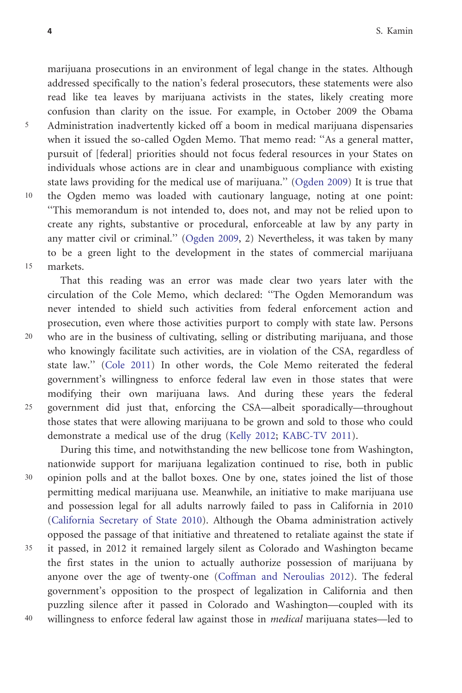marijuana prosecutions in an environment of legal change in the states. Although addressed specifically to the nation's federal prosecutors, these statements were also read like tea leaves by marijuana activists in the states, likely creating more confusion than clarity on the issue. For example, in October 2009 the Obama <sup>5</sup> Administration inadvertently kicked off a boom in medical marijuana dispensaries when it issued the so-called Ogden Memo. That memo read: ''As a general matter, pursuit of [federal] priorities should not focus federal resources in your States on individuals whose actions are in clear and unambiguous compliance with existing state laws providing for the medical use of marijuana.'' [\(Ogden 2009](#page-25-0)) It is true that 10 the Ogden memo was loaded with cautionary language, noting at one point: ''This memorandum is not intended to, does not, and may not be relied upon to create any rights, substantive or procedural, enforceable at law by any party in any matter civil or criminal.'' [\(Ogden 2009](#page-25-0), 2) Nevertheless, it was taken by many to be a green light to the development in the states of commercial marijuana 15 markets.

That this reading was an error was made clear two years later with the circulation of the Cole Memo, which declared: ''The Ogden Memorandum was never intended to shield such activities from federal enforcement action and prosecution, even where those activities purport to comply with state law. Persons 20 who are in the business of cultivating, selling or distributing marijuana, and those who knowingly facilitate such activities, are in violation of the CSA, regardless of state law.'' [\(Cole 2011](#page-23-0)) In other words, the Cole Memo reiterated the federal government's willingness to enforce federal law even in those states that were modifying their own marijuana laws. And during these years the federal 25 government did just that, enforcing the CSA—albeit sporadically—throughout those states that were allowing marijuana to be grown and sold to those who could demonstrate a medical use of the drug ([Kelly 2012;](#page-24-0) [KABC-TV 2011\)](#page-24-0).

During this time, and notwithstanding the new bellicose tone from Washington, nationwide support for marijuana legalization continued to rise, both in public <sup>30</sup> opinion polls and at the ballot boxes. One by one, states joined the list of those permitting medical marijuana use. Meanwhile, an initiative to make marijuana use and possession legal for all adults narrowly failed to pass in California in 2010 [\(California Secretary of State 2010\)](#page-23-0). Although the Obama administration actively opposed the passage of that initiative and threatened to retaliate against the state if <sup>35</sup> it passed, in 2012 it remained largely silent as Colorado and Washington became the first states in the union to actually authorize possession of marijuana by anyone over the age of twenty-one ([Coffman and Neroulias 2012\)](#page-23-0). The federal government's opposition to the prospect of legalization in California and then puzzling silence after it passed in Colorado and Washington—coupled with its <sup>40</sup> willingness to enforce federal law against those in medical marijuana states—led to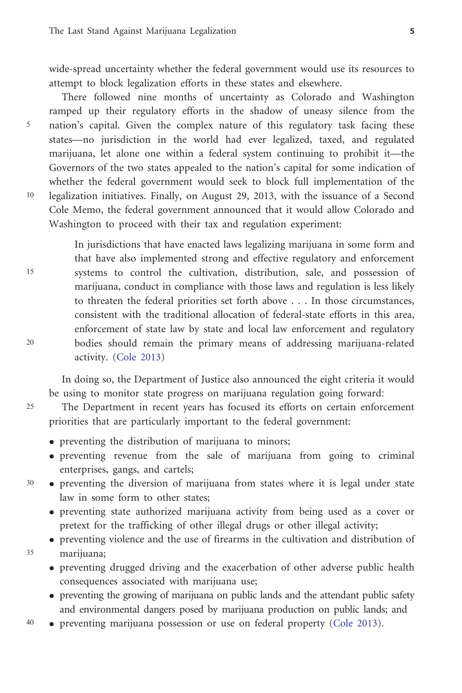wide-spread uncertainty whether the federal government would use its resources to attempt to block legalization efforts in these states and elsewhere.

There followed nine months of uncertainty as Colorado and Washington ramped up their regulatory efforts in the shadow of uneasy silence from the <sup>5</sup> nation's capital. Given the complex nature of this regulatory task facing these states—no jurisdiction in the world had ever legalized, taxed, and regulated marijuana, let alone one within a federal system continuing to prohibit it—the Governors of the two states appealed to the nation's capital for some indication of whether the federal government would seek to block full implementation of the 10 legalization initiatives. Finally, on August 29, 2013, with the issuance of a Second Cole Memo, the federal government announced that it would allow Colorado and Washington to proceed with their tax and regulation experiment:

In jurisdictions that have enacted laws legalizing marijuana in some form and that have also implemented strong and effective regulatory and enforcement 15 systems to control the cultivation, distribution, sale, and possession of marijuana, conduct in compliance with those laws and regulation is less likely to threaten the federal priorities set forth above . . . In those circumstances, consistent with the traditional allocation of federal-state efforts in this area, enforcement of state law by state and local law enforcement and regulatory 20 bodies should remain the primary means of addressing marijuana-related activity. [\(Cole 2013](#page-24-0))

In doing so, the Department of Justice also announced the eight criteria it would be using to monitor state progress on marijuana regulation going forward:

25 The Department in recent years has focused its efforts on certain enforcement priorities that are particularly important to the federal government:

- preventing the distribution of marijuana to minors;
- preventing revenue from the sale of marijuana from going to criminal enterprises, gangs, and cartels;
- <sup>30</sup> preventing the diversion of marijuana from states where it is legal under state law in some form to other states;
	- preventing state authorized marijuana activity from being used as a cover or pretext for the trafficking of other illegal drugs or other illegal activity;
- preventing violence and the use of firearms in the cultivation and distribution of <sup>35</sup> marijuana;
	- preventing drugged driving and the exacerbation of other adverse public health consequences associated with marijuana use;
	- preventing the growing of marijuana on public lands and the attendant public safety and environmental dangers posed by marijuana production on public lands; and
- 40 preventing marijuana possession or use on federal property ([Cole 2013\)](#page-24-0).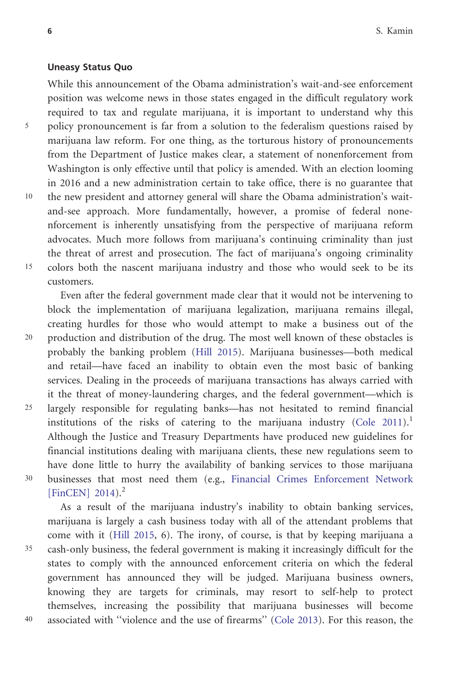#### Uneasy Status Quo

While this announcement of the Obama administration's wait-and-see enforcement position was welcome news in those states engaged in the difficult regulatory work required to tax and regulate marijuana, it is important to understand why this <sup>5</sup> policy pronouncement is far from a solution to the federalism questions raised by marijuana law reform. For one thing, as the torturous history of pronouncements from the Department of Justice makes clear, a statement of nonenforcement from Washington is only effective until that policy is amended. With an election looming in 2016 and a new administration certain to take office, there is no guarantee that 10 the new president and attorney general will share the Obama administration's waitand-see approach. More fundamentally, however, a promise of federal nonenforcement is inherently unsatisfying from the perspective of marijuana reform advocates. Much more follows from marijuana's continuing criminality than just the threat of arrest and prosecution. The fact of marijuana's ongoing criminality 15 colors both the nascent marijuana industry and those who would seek to be its customers.

Even after the federal government made clear that it would not be intervening to block the implementation of marijuana legalization, marijuana remains illegal, creating hurdles for those who would attempt to make a business out of the 20 production and distribution of the drug. The most well known of these obstacles is probably the banking problem ([Hill 2015](#page-24-0)). Marijuana businesses—both medical and retail—have faced an inability to obtain even the most basic of banking services. Dealing in the proceeds of marijuana transactions has always carried with it the threat of money-laundering charges, and the federal government—which is 25 largely responsible for regulating banks—has not hesitated to remind financial institutions of the risks of catering to the marijuana industry ([Cole 2011](#page-23-0)).<sup>1</sup> Although the Justice and Treasury Departments have produced new guidelines for financial institutions dealing with marijuana clients, these new regulations seem to have done little to hurry the availability of banking services to those marijuana <sup>30</sup> businesses that most need them (e.g., [Financial Crimes Enforcement Network](#page-24-0) [\[FinCEN\] 2014\)](#page-24-0).<sup>2</sup>

As a result of the marijuana industry's inability to obtain banking services, marijuana is largely a cash business today with all of the attendant problems that come with it ([Hill 2015](#page-24-0), 6). The irony, of course, is that by keeping marijuana a <sup>35</sup> cash-only business, the federal government is making it increasingly difficult for the states to comply with the announced enforcement criteria on which the federal government has announced they will be judged. Marijuana business owners, knowing they are targets for criminals, may resort to self-help to protect themselves, increasing the possibility that marijuana businesses will become <sup>40</sup> associated with ''violence and the use of firearms'' ([Cole 2013](#page-24-0)). For this reason, the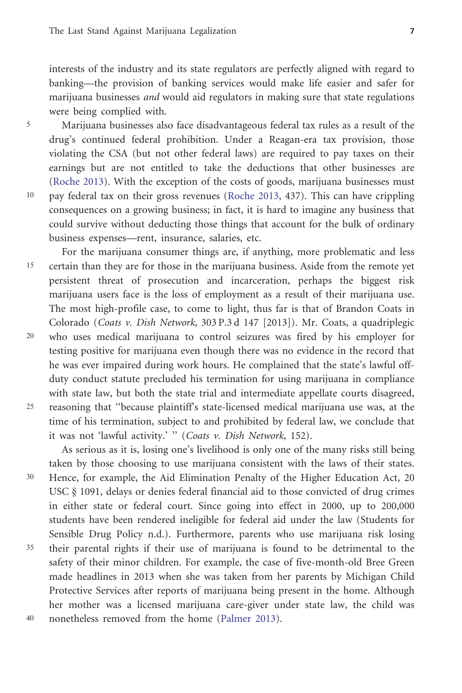interests of the industry and its state regulators are perfectly aligned with regard to banking—the provision of banking services would make life easier and safer for marijuana businesses and would aid regulators in making sure that state regulations were being complied with.

<sup>5</sup> Marijuana businesses also face disadvantageous federal tax rules as a result of the drug's continued federal prohibition. Under a Reagan-era tax provision, those violating the CSA (but not other federal laws) are required to pay taxes on their earnings but are not entitled to take the deductions that other businesses are ([Roche 2013\)](#page-25-0). With the exception of the costs of goods, marijuana businesses must 10 pay federal tax on their gross revenues ([Roche 2013,](#page-25-0) 437). This can have crippling consequences on a growing business; in fact, it is hard to imagine any business that could survive without deducting those things that account for the bulk of ordinary business expenses—rent, insurance, salaries, etc.

For the marijuana consumer things are, if anything, more problematic and less 15 certain than they are for those in the marijuana business. Aside from the remote yet persistent threat of prosecution and incarceration, perhaps the biggest risk marijuana users face is the loss of employment as a result of their marijuana use. The most high-profile case, to come to light, thus far is that of Brandon Coats in Colorado (Coats v. Dish Network, 303 P.3 d 147 [2013]). Mr. Coats, a quadriplegic 20 who uses medical marijuana to control seizures was fired by his employer for testing positive for marijuana even though there was no evidence in the record that he was ever impaired during work hours. He complained that the state's lawful offduty conduct statute precluded his termination for using marijuana in compliance with state law, but both the state trial and intermediate appellate courts disagreed, 25 reasoning that ''because plaintiff's state-licensed medical marijuana use was, at the time of his termination, subject to and prohibited by federal law, we conclude that it was not 'lawful activity.' " (Coats v. Dish Network, 152).

As serious as it is, losing one's livelihood is only one of the many risks still being taken by those choosing to use marijuana consistent with the laws of their states. <sup>30</sup> Hence, for example, the Aid Elimination Penalty of the Higher Education Act, 20 USC  $§$  1091, delays or denies federal financial aid to those convicted of drug crimes in either state or federal court. Since going into effect in 2000, up to 200,000 students have been rendered ineligible for federal aid under the law (Students for Sensible Drug Policy n.d.). Furthermore, parents who use marijuana risk losing <sup>35</sup> their parental rights if their use of marijuana is found to be detrimental to the safety of their minor children. For example, the case of five-month-old Bree Green made headlines in 2013 when she was taken from her parents by Michigan Child Protective Services after reports of marijuana being present in the home. Although her mother was a licensed marijuana care-giver under state law, the child was <sup>40</sup> nonetheless removed from the home [\(Palmer 2013\)](#page-25-0).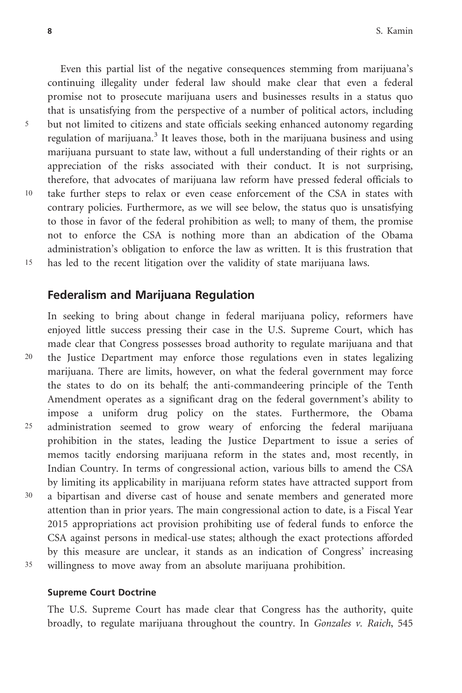Even this partial list of the negative consequences stemming from marijuana's continuing illegality under federal law should make clear that even a federal promise not to prosecute marijuana users and businesses results in a status quo that is unsatisfying from the perspective of a number of political actors, including <sup>5</sup> but not limited to citizens and state officials seeking enhanced autonomy regarding regulation of marijuana.<sup>3</sup> It leaves those, both in the marijuana business and using marijuana pursuant to state law, without a full understanding of their rights or an appreciation of the risks associated with their conduct. It is not surprising, therefore, that advocates of marijuana law reform have pressed federal officials to 10 take further steps to relax or even cease enforcement of the CSA in states with contrary policies. Furthermore, as we will see below, the status quo is unsatisfying to those in favor of the federal prohibition as well; to many of them, the promise not to enforce the CSA is nothing more than an abdication of the Obama administration's obligation to enforce the law as written. It is this frustration that 15 has led to the recent litigation over the validity of state marijuana laws.

# Federalism and Marijuana Regulation

In seeking to bring about change in federal marijuana policy, reformers have enjoyed little success pressing their case in the U.S. Supreme Court, which has made clear that Congress possesses broad authority to regulate marijuana and that 20 the Justice Department may enforce those regulations even in states legalizing marijuana. There are limits, however, on what the federal government may force the states to do on its behalf; the anti-commandeering principle of the Tenth Amendment operates as a significant drag on the federal government's ability to impose a uniform drug policy on the states. Furthermore, the Obama <sup>25</sup> administration seemed to grow weary of enforcing the federal marijuana prohibition in the states, leading the Justice Department to issue a series of memos tacitly endorsing marijuana reform in the states and, most recently, in Indian Country. In terms of congressional action, various bills to amend the CSA by limiting its applicability in marijuana reform states have attracted support from <sup>30</sup> a bipartisan and diverse cast of house and senate members and generated more attention than in prior years. The main congressional action to date, is a Fiscal Year 2015 appropriations act provision prohibiting use of federal funds to enforce the CSA against persons in medical-use states; although the exact protections afforded by this measure are unclear, it stands as an indication of Congress' increasing

<sup>35</sup> willingness to move away from an absolute marijuana prohibition.

#### Supreme Court Doctrine

The U.S. Supreme Court has made clear that Congress has the authority, quite broadly, to regulate marijuana throughout the country. In Gonzales v. Raich, 545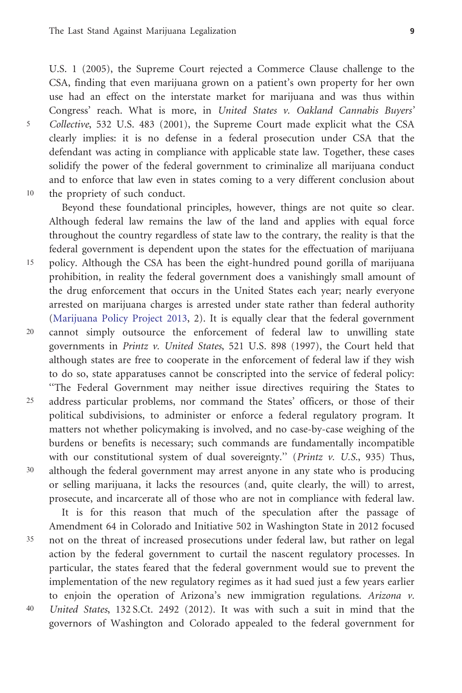U.S. 1 (2005), the Supreme Court rejected a Commerce Clause challenge to the CSA, finding that even marijuana grown on a patient's own property for her own use had an effect on the interstate market for marijuana and was thus within Congress' reach. What is more, in United States v. Oakland Cannabis Buyers' <sup>5</sup> Collective, 532 U.S. 483 (2001), the Supreme Court made explicit what the CSA clearly implies: it is no defense in a federal prosecution under CSA that the defendant was acting in compliance with applicable state law. Together, these cases solidify the power of the federal government to criminalize all marijuana conduct and to enforce that law even in states coming to a very different conclusion about 10 the propriety of such conduct.

Beyond these foundational principles, however, things are not quite so clear. Although federal law remains the law of the land and applies with equal force throughout the country regardless of state law to the contrary, the reality is that the federal government is dependent upon the states for the effectuation of marijuana 15 policy. Although the CSA has been the eight-hundred pound gorilla of marijuana prohibition, in reality the federal government does a vanishingly small amount of the drug enforcement that occurs in the United States each year; nearly everyone arrested on marijuana charges is arrested under state rather than federal authority ([Marijuana Policy Project 2013](#page-24-0), 2). It is equally clear that the federal government 20 cannot simply outsource the enforcement of federal law to unwilling state governments in Printz v. United States, 521 U.S. 898 (1997), the Court held that although states are free to cooperate in the enforcement of federal law if they wish to do so, state apparatuses cannot be conscripted into the service of federal policy: ''The Federal Government may neither issue directives requiring the States to 25 address particular problems, nor command the States' officers, or those of their political subdivisions, to administer or enforce a federal regulatory program. It matters not whether policymaking is involved, and no case-by-case weighing of the burdens or benefits is necessary; such commands are fundamentally incompatible with our constitutional system of dual sovereignty." (Printz  $v$ . U.S., 935) Thus, <sup>30</sup> although the federal government may arrest anyone in any state who is producing

or selling marijuana, it lacks the resources (and, quite clearly, the will) to arrest, prosecute, and incarcerate all of those who are not in compliance with federal law. It is for this reason that much of the speculation after the passage of

Amendment 64 in Colorado and Initiative 502 in Washington State in 2012 focused <sup>35</sup> not on the threat of increased prosecutions under federal law, but rather on legal action by the federal government to curtail the nascent regulatory processes. In particular, the states feared that the federal government would sue to prevent the implementation of the new regulatory regimes as it had sued just a few years earlier to enjoin the operation of Arizona's new immigration regulations. Arizona v. <sup>40</sup> United States, 132 S.Ct. 2492 (2012). It was with such a suit in mind that the governors of Washington and Colorado appealed to the federal government for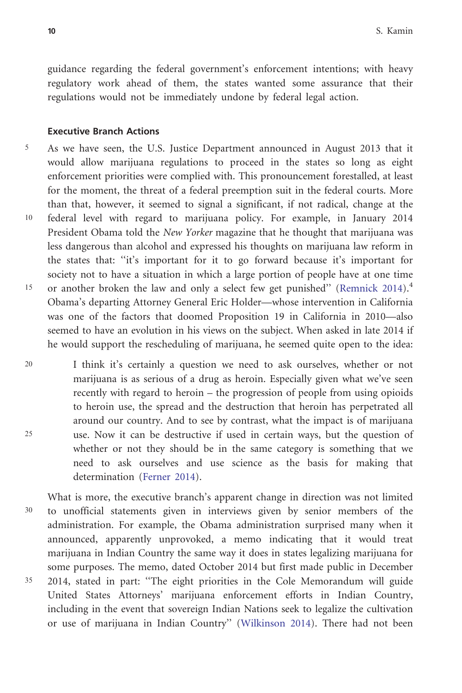guidance regarding the federal government's enforcement intentions; with heavy regulatory work ahead of them, the states wanted some assurance that their regulations would not be immediately undone by federal legal action.

#### Executive Branch Actions

- 5 As we have seen, the U.S. Justice Department announced in August 2013 that it would allow marijuana regulations to proceed in the states so long as eight enforcement priorities were complied with. This pronouncement forestalled, at least for the moment, the threat of a federal preemption suit in the federal courts. More than that, however, it seemed to signal a significant, if not radical, change at the 10 federal level with regard to marijuana policy. For example, in January 2014 President Obama told the New Yorker magazine that he thought that marijuana was less dangerous than alcohol and expressed his thoughts on marijuana law reform in the states that: ''it's important for it to go forward because it's important for society not to have a situation in which a large portion of people have at one time <sup>15</sup> or another broken the law and only a select few get punished" ([Remnick 2014](#page-25-0)).<sup>4</sup> Obama's departing Attorney General Eric Holder—whose intervention in California was one of the factors that doomed Proposition 19 in California in 2010—also seemed to have an evolution in his views on the subject. When asked in late 2014 if he would support the rescheduling of marijuana, he seemed quite open to the idea:
- 20 I think it's certainly a question we need to ask ourselves, whether or not marijuana is as serious of a drug as heroin. Especially given what we've seen recently with regard to heroin – the progression of people from using opioids to heroin use, the spread and the destruction that heroin has perpetrated all around our country. And to see by contrast, what the impact is of marijuana <sup>25</sup> use. Now it can be destructive if used in certain ways, but the question of whether or not they should be in the same category is something that we need to ask ourselves and use science as the basis for making that determination [\(Ferner 2014\)](#page-24-0).
- What is more, the executive branch's apparent change in direction was not limited <sup>30</sup> to unofficial statements given in interviews given by senior members of the administration. For example, the Obama administration surprised many when it announced, apparently unprovoked, a memo indicating that it would treat marijuana in Indian Country the same way it does in states legalizing marijuana for some purposes. The memo, dated October 2014 but first made public in December <sup>35</sup> 2014, stated in part: ''The eight priorities in the Cole Memorandum will guide United States Attorneys' marijuana enforcement efforts in Indian Country, including in the event that sovereign Indian Nations seek to legalize the cultivation or use of marijuana in Indian Country'' [\(Wilkinson 2014\)](#page-25-0). There had not been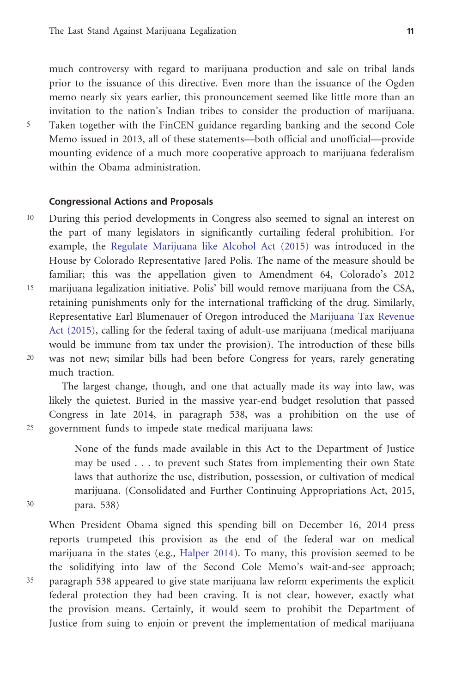much controversy with regard to marijuana production and sale on tribal lands prior to the issuance of this directive. Even more than the issuance of the Ogden memo nearly six years earlier, this pronouncement seemed like little more than an invitation to the nation's Indian tribes to consider the production of marijuana. <sup>5</sup> Taken together with the FinCEN guidance regarding banking and the second Cole Memo issued in 2013, all of these statements—both official and unofficial—provide mounting evidence of a much more cooperative approach to marijuana federalism within the Obama administration.

#### Congressional Actions and Proposals

10 During this period developments in Congress also seemed to signal an interest on the part of many legislators in significantly curtailing federal prohibition. For example, the [Regulate Marijuana like Alcohol Act \(2015\)](#page-25-0) was introduced in the House by Colorado Representative Jared Polis. The name of the measure should be familiar; this was the appellation given to Amendment 64, Colorado's 2012 15 marijuana legalization initiative. Polis' bill would remove marijuana from the CSA, retaining punishments only for the international trafficking of the drug. Similarly, Representative Earl Blumenauer of Oregon introduced the [Marijuana Tax Revenue](#page-25-0) [Act \(2015\)](#page-25-0), calling for the federal taxing of adult-use marijuana (medical marijuana would be immune from tax under the provision). The introduction of these bills 20 was not new; similar bills had been before Congress for years, rarely generating much traction.

The largest change, though, and one that actually made its way into law, was likely the quietest. Buried in the massive year-end budget resolution that passed Congress in late 2014, in paragraph 538, was a prohibition on the use of <sup>25</sup> government funds to impede state medical marijuana laws:

None of the funds made available in this Act to the Department of Justice may be used . . . to prevent such States from implementing their own State laws that authorize the use, distribution, possession, or cultivation of medical marijuana. (Consolidated and Further Continuing Appropriations Act, 2015, <sup>30</sup> para. 538)

When President Obama signed this spending bill on December 16, 2014 press reports trumpeted this provision as the end of the federal war on medical marijuana in the states (e.g., [Halper 2014\)](#page-24-0). To many, this provision seemed to be the solidifying into law of the Second Cole Memo's wait-and-see approach; <sup>35</sup> paragraph 538 appeared to give state marijuana law reform experiments the explicit federal protection they had been craving. It is not clear, however, exactly what the provision means. Certainly, it would seem to prohibit the Department of Justice from suing to enjoin or prevent the implementation of medical marijuana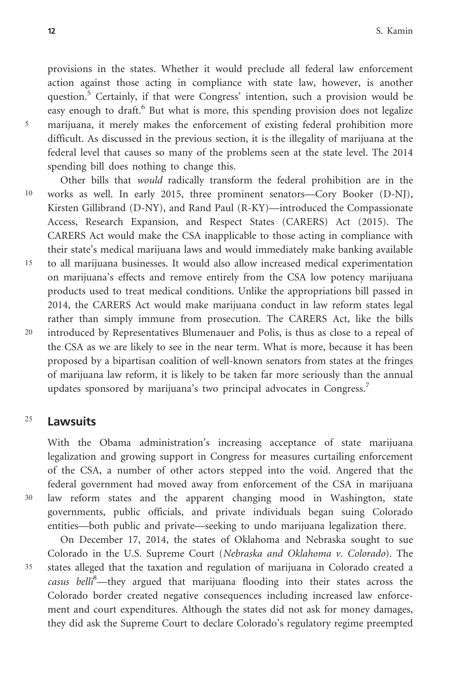provisions in the states. Whether it would preclude all federal law enforcement action against those acting in compliance with state law, however, is another question.<sup>5</sup> Certainly, if that were Congress' intention, such a provision would be easy enough to draft.<sup>6</sup> But what is more, this spending provision does not legalize <sup>5</sup> marijuana, it merely makes the enforcement of existing federal prohibition more difficult. As discussed in the previous section, it is the illegality of marijuana at the federal level that causes so many of the problems seen at the state level. The 2014 spending bill does nothing to change this.

Other bills that would radically transform the federal prohibition are in the 10 works as well. In early 2015, three prominent senators—Cory Booker (D-NJ), Kirsten Gillibrand (D-NY), and Rand Paul (R-KY)—introduced the Compassionate Access, Research Expansion, and Respect States (CARERS) Act (2015). The CARERS Act would make the CSA inapplicable to those acting in compliance with their state's medical marijuana laws and would immediately make banking available 15 to all marijuana businesses. It would also allow increased medical experimentation on marijuana's effects and remove entirely from the CSA low potency marijuana products used to treat medical conditions. Unlike the appropriations bill passed in 2014, the CARERS Act would make marijuana conduct in law reform states legal rather than simply immune from prosecution. The CARERS Act, like the bills 20 introduced by Representatives Blumenauer and Polis, is thus as close to a repeal of the CSA as we are likely to see in the near term. What is more, because it has been proposed by a bipartisan coalition of well-known senators from states at the fringes of marijuana law reform, it is likely to be taken far more seriously than the annual updates sponsored by marijuana's two principal advocates in Congress.<sup>7</sup>

# $25$  Lawsuits

With the Obama administration's increasing acceptance of state marijuana legalization and growing support in Congress for measures curtailing enforcement of the CSA, a number of other actors stepped into the void. Angered that the federal government had moved away from enforcement of the CSA in marijuana <sup>30</sup> law reform states and the apparent changing mood in Washington, state governments, public officials, and private individuals began suing Colorado entities—both public and private—seeking to undo marijuana legalization there.

On December 17, 2014, the states of Oklahoma and Nebraska sought to sue Colorado in the U.S. Supreme Court (Nebraska and Oklahoma v. Colorado). The <sup>35</sup> states alleged that the taxation and regulation of marijuana in Colorado created a casus belli<sup>8</sup>-they argued that marijuana flooding into their states across the Colorado border created negative consequences including increased law enforcement and court expenditures. Although the states did not ask for money damages, they did ask the Supreme Court to declare Colorado's regulatory regime preempted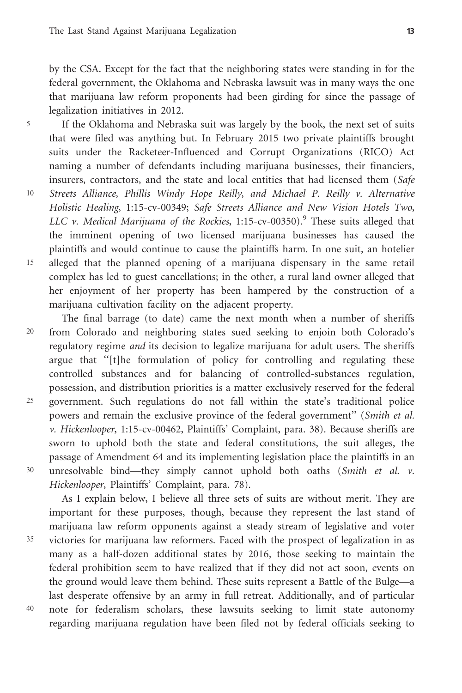by the CSA. Except for the fact that the neighboring states were standing in for the federal government, the Oklahoma and Nebraska lawsuit was in many ways the one that marijuana law reform proponents had been girding for since the passage of legalization initiatives in 2012.

<sup>5</sup> If the Oklahoma and Nebraska suit was largely by the book, the next set of suits that were filed was anything but. In February 2015 two private plaintiffs brought suits under the Racketeer-Influenced and Corrupt Organizations (RICO) Act naming a number of defendants including marijuana businesses, their financiers, insurers, contractors, and the state and local entities that had licensed them (Safe

- 10 Streets Alliance, Phillis Windy Hope Reilly, and Michael P. Reilly v. Alternative Holistic Healing, 1:15-cv-00349; Safe Streets Alliance and New Vision Hotels Two, LLC v. Medical Marijuana of the Rockies,  $1:15$ -cv-00350).<sup>9</sup> These suits alleged that the imminent opening of two licensed marijuana businesses has caused the plaintiffs and would continue to cause the plaintiffs harm. In one suit, an hotelier 15 alleged that the planned opening of a marijuana dispensary in the same retail complex has led to guest cancellations; in the other, a rural land owner alleged that her enjoyment of her property has been hampered by the construction of a marijuana cultivation facility on the adjacent property.
- The final barrage (to date) came the next month when a number of sheriffs 20 from Colorado and neighboring states sued seeking to enjoin both Colorado's regulatory regime and its decision to legalize marijuana for adult users. The sheriffs argue that ''[t]he formulation of policy for controlling and regulating these controlled substances and for balancing of controlled-substances regulation, possession, and distribution priorities is a matter exclusively reserved for the federal 25 government. Such regulations do not fall within the state's traditional police powers and remain the exclusive province of the federal government" (Smith et al. v. Hickenlooper, 1:15-cv-00462, Plaintiffs' Complaint, para. 38). Because sheriffs are sworn to uphold both the state and federal constitutions, the suit alleges, the passage of Amendment 64 and its implementing legislation place the plaintiffs in an <sup>30</sup> unresolvable bind—they simply cannot uphold both oaths (Smith et al. v. Hickenlooper, Plaintiffs' Complaint, para. 78).

As I explain below, I believe all three sets of suits are without merit. They are important for these purposes, though, because they represent the last stand of marijuana law reform opponents against a steady stream of legislative and voter <sup>35</sup> victories for marijuana law reformers. Faced with the prospect of legalization in as many as a half-dozen additional states by 2016, those seeking to maintain the federal prohibition seem to have realized that if they did not act soon, events on the ground would leave them behind. These suits represent a Battle of the Bulge—a last desperate offensive by an army in full retreat. Additionally, and of particular <sup>40</sup> note for federalism scholars, these lawsuits seeking to limit state autonomy regarding marijuana regulation have been filed not by federal officials seeking to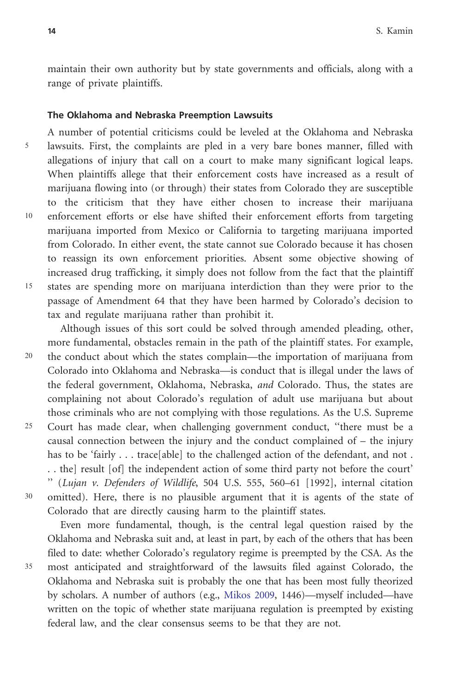maintain their own authority but by state governments and officials, along with a range of private plaintiffs.

#### The Oklahoma and Nebraska Preemption Lawsuits

A number of potential criticisms could be leveled at the Oklahoma and Nebraska <sup>5</sup> lawsuits. First, the complaints are pled in a very bare bones manner, filled with allegations of injury that call on a court to make many significant logical leaps. When plaintiffs allege that their enforcement costs have increased as a result of marijuana flowing into (or through) their states from Colorado they are susceptible to the criticism that they have either chosen to increase their marijuana 10 enforcement efforts or else have shifted their enforcement efforts from targeting marijuana imported from Mexico or California to targeting marijuana imported from Colorado. In either event, the state cannot sue Colorado because it has chosen to reassign its own enforcement priorities. Absent some objective showing of increased drug trafficking, it simply does not follow from the fact that the plaintiff 15 states are spending more on marijuana interdiction than they were prior to the passage of Amendment 64 that they have been harmed by Colorado's decision to tax and regulate marijuana rather than prohibit it.

Although issues of this sort could be solved through amended pleading, other, more fundamental, obstacles remain in the path of the plaintiff states. For example, 20 the conduct about which the states complain—the importation of marijuana from Colorado into Oklahoma and Nebraska—is conduct that is illegal under the laws of the federal government, Oklahoma, Nebraska, *and* Colorado. Thus, the states are complaining not about Colorado's regulation of adult use marijuana but about those criminals who are not complying with those regulations. As the U.S. Supreme <sup>25</sup> Court has made clear, when challenging government conduct, ''there must be a causal connection between the injury and the conduct complained of – the injury has to be 'fairly . . . trace[able] to the challenged action of the defendant, and not . . . the] result [of] the independent action of some third party not before the court' '' (Lujan v. Defenders of Wildlife, 504 U.S. 555, 560–61 [1992], internal citation <sup>30</sup> omitted). Here, there is no plausible argument that it is agents of the state of Colorado that are directly causing harm to the plaintiff states.

Even more fundamental, though, is the central legal question raised by the Oklahoma and Nebraska suit and, at least in part, by each of the others that has been filed to date: whether Colorado's regulatory regime is preempted by the CSA. As the <sup>35</sup> most anticipated and straightforward of the lawsuits filed against Colorado, the Oklahoma and Nebraska suit is probably the one that has been most fully theorized by scholars. A number of authors (e.g., [Mikos 2009,](#page-25-0) 1446)—myself included—have written on the topic of whether state marijuana regulation is preempted by existing federal law, and the clear consensus seems to be that they are not.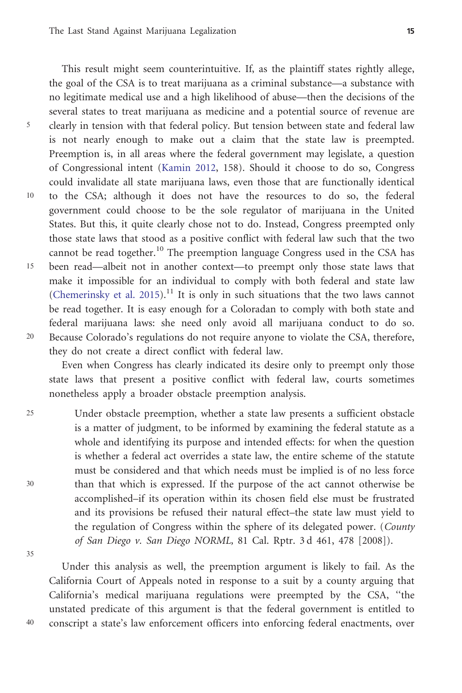This result might seem counterintuitive. If, as the plaintiff states rightly allege, the goal of the CSA is to treat marijuana as a criminal substance—a substance with no legitimate medical use and a high likelihood of abuse—then the decisions of the several states to treat marijuana as medicine and a potential source of revenue are <sup>5</sup> clearly in tension with that federal policy. But tension between state and federal law is not nearly enough to make out a claim that the state law is preempted. Preemption is, in all areas where the federal government may legislate, a question of Congressional intent [\(Kamin 2012,](#page-24-0) 158). Should it choose to do so, Congress could invalidate all state marijuana laws, even those that are functionally identical 10 to the CSA; although it does not have the resources to do so, the federal government could choose to be the sole regulator of marijuana in the United States. But this, it quite clearly chose not to do. Instead, Congress preempted only those state laws that stood as a positive conflict with federal law such that the two cannot be read together.<sup>10</sup> The preemption language Congress used in the CSA has 15 been read—albeit not in another context—to preempt only those state laws that make it impossible for an individual to comply with both federal and state law ([Chemerinsky et al. 2015](#page-23-0)).<sup>11</sup> It is only in such situations that the two laws cannot be read together. It is easy enough for a Coloradan to comply with both state and federal marijuana laws: she need only avoid all marijuana conduct to do so. 20 Because Colorado's regulations do not require anyone to violate the CSA, therefore, they do not create a direct conflict with federal law.

Even when Congress has clearly indicated its desire only to preempt only those state laws that present a positive conflict with federal law, courts sometimes nonetheless apply a broader obstacle preemption analysis.

<sup>25</sup> Under obstacle preemption, whether a state law presents a sufficient obstacle is a matter of judgment, to be informed by examining the federal statute as a whole and identifying its purpose and intended effects: for when the question is whether a federal act overrides a state law, the entire scheme of the statute must be considered and that which needs must be implied is of no less force <sup>30</sup> than that which is expressed. If the purpose of the act cannot otherwise be accomplished–if its operation within its chosen field else must be frustrated and its provisions be refused their natural effect–the state law must yield to the regulation of Congress within the sphere of its delegated power. (County of San Diego v. San Diego NORML, 81 Cal. Rptr. 3 d 461, 478 [2008]).

35

Under this analysis as well, the preemption argument is likely to fail. As the California Court of Appeals noted in response to a suit by a county arguing that California's medical marijuana regulations were preempted by the CSA, ''the unstated predicate of this argument is that the federal government is entitled to <sup>40</sup> conscript a state's law enforcement officers into enforcing federal enactments, over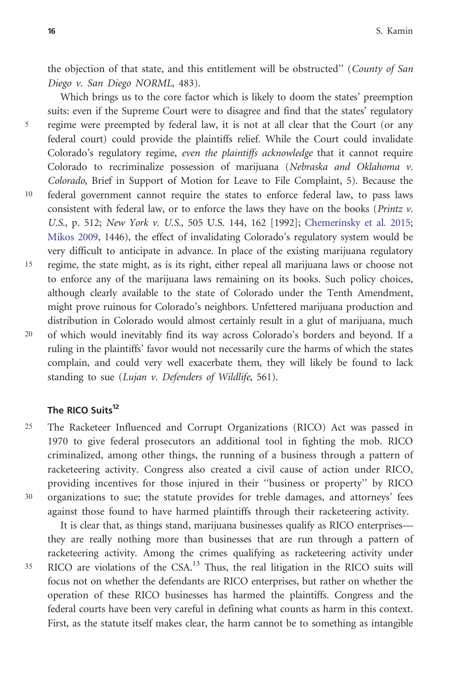the objection of that state, and this entitlement will be obstructed" (County of San Diego v. San Diego NORML, 483).

Which brings us to the core factor which is likely to doom the states' preemption suits: even if the Supreme Court were to disagree and find that the states' regulatory <sup>5</sup> regime were preempted by federal law, it is not at all clear that the Court (or any federal court) could provide the plaintiffs relief. While the Court could invalidate Colorado's regulatory regime, even the plaintiffs acknowledge that it cannot require Colorado to recriminalize possession of marijuana (Nebraska and Oklahoma v. Colorado, Brief in Support of Motion for Leave to File Complaint, 5). Because the 10 federal government cannot require the states to enforce federal law, to pass laws consistent with federal law, or to enforce the laws they have on the books (*Printz v*. U.S., p. 512; New York v. U.S., 505 U.S. 144, 162 [1992]; [Chemerinsky et al. 2015;](#page-23-0) [Mikos 2009,](#page-25-0) 1446), the effect of invalidating Colorado's regulatory system would be very difficult to anticipate in advance. In place of the existing marijuana regulatory 15 regime, the state might, as is its right, either repeal all marijuana laws or choose not to enforce any of the marijuana laws remaining on its books. Such policy choices, although clearly available to the state of Colorado under the Tenth Amendment, might prove ruinous for Colorado's neighbors. Unfettered marijuana production and distribution in Colorado would almost certainly result in a glut of marijuana, much 20 of which would inevitably find its way across Colorado's borders and beyond. If a ruling in the plaintiffs' favor would not necessarily cure the harms of which the states complain, and could very well exacerbate them, they will likely be found to lack standing to sue (Lujan v. Defenders of Wildlife, 561).

### The RICO Suits<sup>12</sup>

<sup>25</sup> The Racketeer Influenced and Corrupt Organizations (RICO) Act was passed in 1970 to give federal prosecutors an additional tool in fighting the mob. RICO criminalized, among other things, the running of a business through a pattern of racketeering activity. Congress also created a civil cause of action under RICO, providing incentives for those injured in their ''business or property'' by RICO <sup>30</sup> organizations to sue; the statute provides for treble damages, and attorneys' fees against those found to have harmed plaintiffs through their racketeering activity.

It is clear that, as things stand, marijuana businesses qualify as RICO enterprises they are really nothing more than businesses that are run through a pattern of racketeering activity. Among the crimes qualifying as racketeering activity under <sup>35</sup> RICO are violations of the CSA.13 Thus, the real litigation in the RICO suits will focus not on whether the defendants are RICO enterprises, but rather on whether the operation of these RICO businesses has harmed the plaintiffs. Congress and the federal courts have been very careful in defining what counts as harm in this context. First, as the statute itself makes clear, the harm cannot be to something as intangible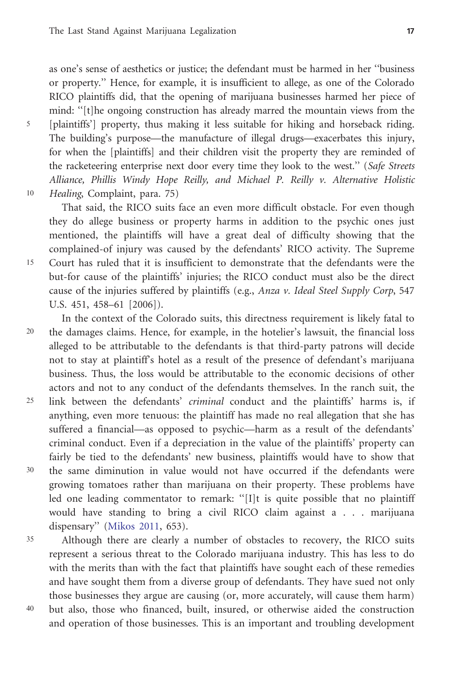as one's sense of aesthetics or justice; the defendant must be harmed in her ''business or property.'' Hence, for example, it is insufficient to allege, as one of the Colorado RICO plaintiffs did, that the opening of marijuana businesses harmed her piece of mind: ''[t]he ongoing construction has already marred the mountain views from the <sup>5</sup> [plaintiffs'] property, thus making it less suitable for hiking and horseback riding. The building's purpose—the manufacture of illegal drugs—exacerbates this injury, for when the [plaintiffs] and their children visit the property they are reminded of the racketeering enterprise next door every time they look to the west." (Safe Streets Alliance, Phillis Windy Hope Reilly, and Michael P. Reilly v. Alternative Holistic 10 Healing, Complaint, para. 75)

That said, the RICO suits face an even more difficult obstacle. For even though they do allege business or property harms in addition to the psychic ones just mentioned, the plaintiffs will have a great deal of difficulty showing that the complained-of injury was caused by the defendants' RICO activity. The Supreme 15 Court has ruled that it is insufficient to demonstrate that the defendants were the but-for cause of the plaintiffs' injuries; the RICO conduct must also be the direct cause of the injuries suffered by plaintiffs (e.g., Anza v. Ideal Steel Supply Corp, 547) U.S. 451, 458–61 [2006]).

In the context of the Colorado suits, this directness requirement is likely fatal to 20 the damages claims. Hence, for example, in the hotelier's lawsuit, the financial loss alleged to be attributable to the defendants is that third-party patrons will decide not to stay at plaintiff's hotel as a result of the presence of defendant's marijuana business. Thus, the loss would be attributable to the economic decisions of other actors and not to any conduct of the defendants themselves. In the ranch suit, the 25 link between the defendants' criminal conduct and the plaintiffs' harms is, if

- anything, even more tenuous: the plaintiff has made no real allegation that she has suffered a financial—as opposed to psychic—harm as a result of the defendants' criminal conduct. Even if a depreciation in the value of the plaintiffs' property can fairly be tied to the defendants' new business, plaintiffs would have to show that <sup>30</sup> the same diminution in value would not have occurred if the defendants were
- growing tomatoes rather than marijuana on their property. These problems have led one leading commentator to remark: ''[I]t is quite possible that no plaintiff would have standing to bring a civil RICO claim against a . . . marijuana dispensary'' ([Mikos 2011](#page-25-0), 653).
- <sup>35</sup> Although there are clearly a number of obstacles to recovery, the RICO suits represent a serious threat to the Colorado marijuana industry. This has less to do with the merits than with the fact that plaintiffs have sought each of these remedies and have sought them from a diverse group of defendants. They have sued not only those businesses they argue are causing (or, more accurately, will cause them harm) <sup>40</sup> but also, those who financed, built, insured, or otherwise aided the construction and operation of those businesses. This is an important and troubling development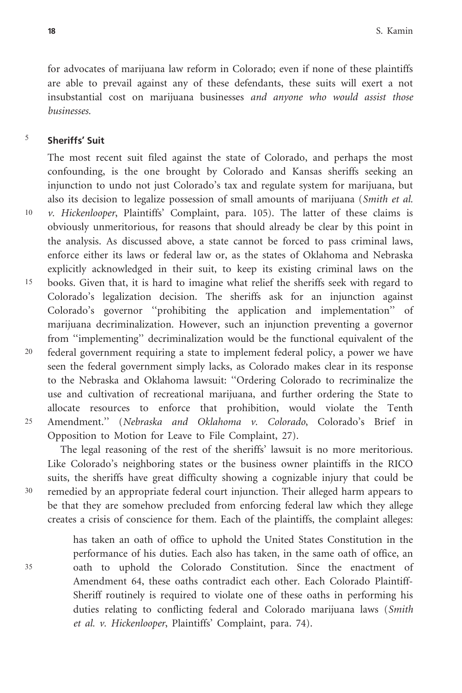for advocates of marijuana law reform in Colorado; even if none of these plaintiffs are able to prevail against any of these defendants, these suits will exert a not insubstantial cost on marijuana businesses and anyone who would assist those businesses.

### $5$  Sheriffs' Suit

The most recent suit filed against the state of Colorado, and perhaps the most confounding, is the one brought by Colorado and Kansas sheriffs seeking an injunction to undo not just Colorado's tax and regulate system for marijuana, but also its decision to legalize possession of small amounts of marijuana (Smith et al.

- $10 \gamma$ . Hickenlooper, Plaintiffs' Complaint, para. 105). The latter of these claims is
- obviously unmeritorious, for reasons that should already be clear by this point in the analysis. As discussed above, a state cannot be forced to pass criminal laws, enforce either its laws or federal law or, as the states of Oklahoma and Nebraska explicitly acknowledged in their suit, to keep its existing criminal laws on the 15 books. Given that, it is hard to imagine what relief the sheriffs seek with regard to Colorado's legalization decision. The sheriffs ask for an injunction against Colorado's governor ''prohibiting the application and implementation'' of marijuana decriminalization. However, such an injunction preventing a governor from ''implementing'' decriminalization would be the functional equivalent of the
- 20 federal government requiring a state to implement federal policy, a power we have seen the federal government simply lacks, as Colorado makes clear in its response to the Nebraska and Oklahoma lawsuit: ''Ordering Colorado to recriminalize the use and cultivation of recreational marijuana, and further ordering the State to allocate resources to enforce that prohibition, would violate the Tenth <sup>25</sup> Amendment.'' (Nebraska and Oklahoma v. Colorado, Colorado's Brief in Opposition to Motion for Leave to File Complaint, 27).

The legal reasoning of the rest of the sheriffs' lawsuit is no more meritorious. Like Colorado's neighboring states or the business owner plaintiffs in the RICO suits, the sheriffs have great difficulty showing a cognizable injury that could be <sup>30</sup> remedied by an appropriate federal court injunction. Their alleged harm appears to be that they are somehow precluded from enforcing federal law which they allege creates a crisis of conscience for them. Each of the plaintiffs, the complaint alleges:

has taken an oath of office to uphold the United States Constitution in the performance of his duties. Each also has taken, in the same oath of office, an <sup>35</sup> oath to uphold the Colorado Constitution. Since the enactment of Amendment 64, these oaths contradict each other. Each Colorado Plaintiff-Sheriff routinely is required to violate one of these oaths in performing his duties relating to conflicting federal and Colorado marijuana laws (Smith et al. v. Hickenlooper, Plaintiffs' Complaint, para. 74).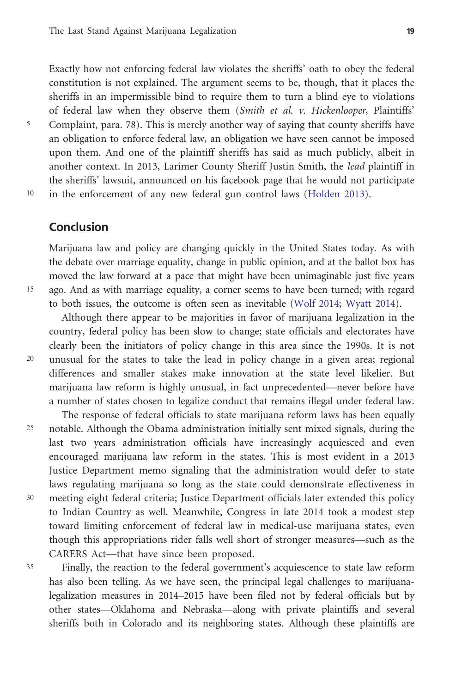Exactly how not enforcing federal law violates the sheriffs' oath to obey the federal constitution is not explained. The argument seems to be, though, that it places the sheriffs in an impermissible bind to require them to turn a blind eye to violations of federal law when they observe them (Smith et al. v. Hickenlooper, Plaintiffs' <sup>5</sup> Complaint, para. 78). This is merely another way of saying that county sheriffs have an obligation to enforce federal law, an obligation we have seen cannot be imposed upon them. And one of the plaintiff sheriffs has said as much publicly, albeit in another context. In 2013, Larimer County Sheriff Justin Smith, the lead plaintiff in the sheriffs' lawsuit, announced on his facebook page that he would not participate 10 in the enforcement of any new federal gun control laws ([Holden 2013](#page-24-0)).

# Conclusion

Marijuana law and policy are changing quickly in the United States today. As with the debate over marriage equality, change in public opinion, and at the ballot box has moved the law forward at a pace that might have been unimaginable just five years 15 ago. And as with marriage equality, a corner seems to have been turned; with regard to both issues, the outcome is often seen as inevitable ([Wolf 2014;](#page-26-0) [Wyatt 2014\)](#page-26-0).

Although there appear to be majorities in favor of marijuana legalization in the country, federal policy has been slow to change; state officials and electorates have clearly been the initiators of policy change in this area since the 1990s. It is not 20 unusual for the states to take the lead in policy change in a given area; regional differences and smaller stakes make innovation at the state level likelier. But marijuana law reform is highly unusual, in fact unprecedented—never before have a number of states chosen to legalize conduct that remains illegal under federal law.

The response of federal officials to state marijuana reform laws has been equally <sup>25</sup> notable. Although the Obama administration initially sent mixed signals, during the last two years administration officials have increasingly acquiesced and even encouraged marijuana law reform in the states. This is most evident in a 2013 Justice Department memo signaling that the administration would defer to state laws regulating marijuana so long as the state could demonstrate effectiveness in <sup>30</sup> meeting eight federal criteria; Justice Department officials later extended this policy to Indian Country as well. Meanwhile, Congress in late 2014 took a modest step toward limiting enforcement of federal law in medical-use marijuana states, even though this appropriations rider falls well short of stronger measures—such as the CARERS Act—that have since been proposed.

<sup>35</sup> Finally, the reaction to the federal government's acquiescence to state law reform has also been telling. As we have seen, the principal legal challenges to marijuanalegalization measures in 2014–2015 have been filed not by federal officials but by other states—Oklahoma and Nebraska—along with private plaintiffs and several sheriffs both in Colorado and its neighboring states. Although these plaintiffs are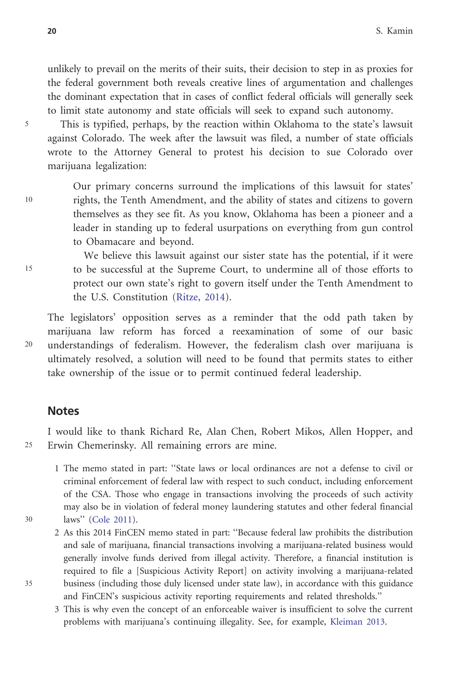unlikely to prevail on the merits of their suits, their decision to step in as proxies for the federal government both reveals creative lines of argumentation and challenges the dominant expectation that in cases of conflict federal officials will generally seek to limit state autonomy and state officials will seek to expand such autonomy.

<sup>5</sup> This is typified, perhaps, by the reaction within Oklahoma to the state's lawsuit against Colorado. The week after the lawsuit was filed, a number of state officials wrote to the Attorney General to protest his decision to sue Colorado over marijuana legalization:

Our primary concerns surround the implications of this lawsuit for states' 10 rights, the Tenth Amendment, and the ability of states and citizens to govern themselves as they see fit. As you know, Oklahoma has been a pioneer and a leader in standing up to federal usurpations on everything from gun control to Obamacare and beyond.

We believe this lawsuit against our sister state has the potential, if it were 15 to be successful at the Supreme Court, to undermine all of those efforts to protect our own state's right to govern itself under the Tenth Amendment to the U.S. Constitution ([Ritze, 2014\)](#page-25-0).

The legislators' opposition serves as a reminder that the odd path taken by marijuana law reform has forced a reexamination of some of our basic 20 understandings of federalism. However, the federalism clash over marijuana is ultimately resolved, a solution will need to be found that permits states to either take ownership of the issue or to permit continued federal leadership.

### Notes

I would like to thank Richard Re, Alan Chen, Robert Mikos, Allen Hopper, and <sup>25</sup> Erwin Chemerinsky. All remaining errors are mine.

- 1 The memo stated in part: ''State laws or local ordinances are not a defense to civil or criminal enforcement of federal law with respect to such conduct, including enforcement of the CSA. Those who engage in transactions involving the proceeds of such activity may also be in violation of federal money laundering statutes and other federal financial 30 laws'' [\(Cole 2011\)](#page-23-0).
- 2 As this 2014 FinCEN memo stated in part: ''Because federal law prohibits the distribution and sale of marijuana, financial transactions involving a marijuana-related business would generally involve funds derived from illegal activity. Therefore, a financial institution is required to file a [Suspicious Activity Report] on activity involving a marijuana-related 35 business (including those duly licensed under state law), in accordance with this guidance and FinCEN's suspicious activity reporting requirements and related thresholds.''
	- 3 This is why even the concept of an enforceable waiver is insufficient to solve the current problems with marijuana's continuing illegality. See, for example, [Kleiman 2013.](#page-24-0)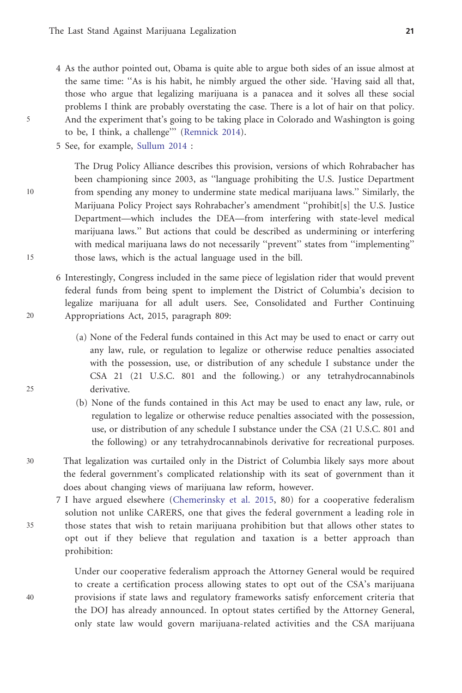- 4 As the author pointed out, Obama is quite able to argue both sides of an issue almost at the same time: ''As is his habit, he nimbly argued the other side. 'Having said all that, those who argue that legalizing marijuana is a panacea and it solves all these social problems I think are probably overstating the case. There is a lot of hair on that policy. 5 And the experiment that's going to be taking place in Colorado and Washington is going to be, I think, a challenge''' ([Remnick 2014\)](#page-25-0).
	- 5 See, for example, [Sullum 2014](#page-25-0) :

The Drug Policy Alliance describes this provision, versions of which Rohrabacher has been championing since 2003, as ''language prohibiting the U.S. Justice Department 10 from spending any money to undermine state medical marijuana laws.'' Similarly, the Marijuana Policy Project says Rohrabacher's amendment ''prohibit[s] the U.S. Justice Department—which includes the DEA—from interfering with state-level medical marijuana laws.'' But actions that could be described as undermining or interfering with medical marijuana laws do not necessarily "prevent" states from "implementing" 15 those laws, which is the actual language used in the bill.

- 6 Interestingly, Congress included in the same piece of legislation rider that would prevent federal funds from being spent to implement the District of Columbia's decision to legalize marijuana for all adult users. See, Consolidated and Further Continuing 20 Appropriations Act, 2015, paragraph 809:
- (a) None of the Federal funds contained in this Act may be used to enact or carry out any law, rule, or regulation to legalize or otherwise reduce penalties associated with the possession, use, or distribution of any schedule I substance under the CSA 21 (21 U.S.C. 801 and the following.) or any tetrahydrocannabinols 25 derivative.
	- (b) None of the funds contained in this Act may be used to enact any law, rule, or regulation to legalize or otherwise reduce penalties associated with the possession, use, or distribution of any schedule I substance under the CSA (21 U.S.C. 801 and the following) or any tetrahydrocannabinols derivative for recreational purposes.
- 30 That legalization was curtailed only in the District of Columbia likely says more about the federal government's complicated relationship with its seat of government than it does about changing views of marijuana law reform, however.

7 I have argued elsewhere ([Chemerinsky et al. 2015](#page-23-0), 80) for a cooperative federalism solution not unlike CARERS, one that gives the federal government a leading role in 35 those states that wish to retain marijuana prohibition but that allows other states to opt out if they believe that regulation and taxation is a better approach than prohibition:

Under our cooperative federalism approach the Attorney General would be required to create a certification process allowing states to opt out of the CSA's marijuana 40 provisions if state laws and regulatory frameworks satisfy enforcement criteria that the DOJ has already announced. In optout states certified by the Attorney General, only state law would govern marijuana-related activities and the CSA marijuana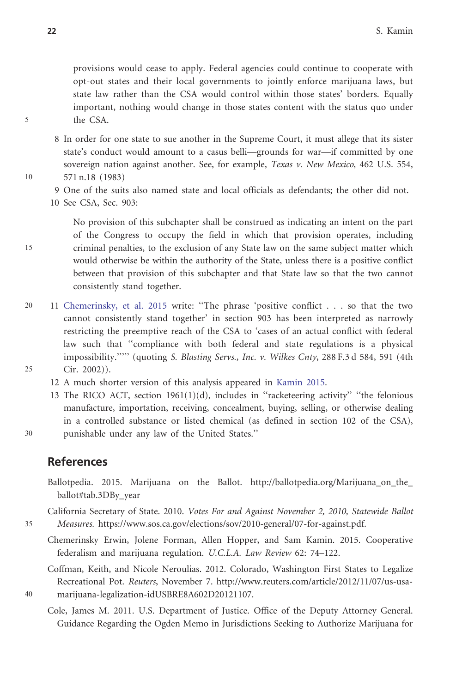provisions would cease to apply. Federal agencies could continue to cooperate with opt-out states and their local governments to jointly enforce marijuana laws, but state law rather than the CSA would control within those states' borders. Equally important, nothing would change in those states content with the status quo under 5 the CSA.

8 In order for one state to sue another in the Supreme Court, it must allege that its sister state's conduct would amount to a casus belli—grounds for war—if committed by one sovereign nation against another. See, for example, *Texas v. New Mexico*,  $462$  U.S.  $554$ , 10 571 n.18 (1983)

- 9 One of the suits also named state and local officials as defendants; the other did not.
- 10 See CSA, Sec. 903:

No provision of this subchapter shall be construed as indicating an intent on the part of the Congress to occupy the field in which that provision operates, including 15 criminal penalties, to the exclusion of any State law on the same subject matter which would otherwise be within the authority of the State, unless there is a positive conflict between that provision of this subchapter and that State law so that the two cannot consistently stand together.

- 20 11 Chemerinsky, et al. 2015 write: ''The phrase 'positive conflict . . . so that the two cannot consistently stand together' in section 903 has been interpreted as narrowly restricting the preemptive reach of the CSA to 'cases of an actual conflict with federal law such that ''compliance with both federal and state regulations is a physical impossibility.''''' (quoting S. Blasting Servs., Inc. v. Wilkes Cnty, 288 F.3 d 584, 591 (4th 25 Cir. 2002)).
- - 12 A much shorter version of this analysis appeared in [Kamin 2015.](#page-24-0)
- 13 The RICO ACT, section  $1961(1)(d)$ , includes in "racketeering activity" "the felonious manufacture, importation, receiving, concealment, buying, selling, or otherwise dealing in a controlled substance or listed chemical (as defined in section 102 of the CSA), 30 punishable under any law of the United States.''

References

Ballotpedia. 2015. Marijuana on the Ballot. [http://ballotpedia.org/Marijuana\\_on\\_the\\_](http://ballotpedia.org/Marijuana_on_the_ballot#tab.3DBy_year) [ballot#tab.3DBy\\_year](http://ballotpedia.org/Marijuana_on_the_ballot#tab.3DBy_year)

California Secretary of State. 2010. Votes For and Against November 2, 2010, Statewide Ballot 35 Measures. [https://www.sos.ca.gov/elections/sov/2010-general/07-for-against.pdf.](http://www.sos.ca.gov/elections/sov/2010-general/07-for-against.pdf)

Chemerinsky Erwin, Jolene Forman, Allen Hopper, and Sam Kamin. 2015. Cooperative federalism and marijuana regulation. U.C.L.A. Law Review 62: 74–122.

Coffman, Keith, and Nicole Neroulias. 2012. Colorado, Washington First States to Legalize Recreational Pot. Reuters, November 7. [http://www.reuters.com/article/2012/11/07/us-usa-](http://www.reuters.com/article/2012/11/07/us-usa-marijuana-legalization-idUSBRE8A602D20121107)40 [marijuana-legalization-idUSBRE8A602D20121107](http://www.reuters.com/article/2012/11/07/us-usa-marijuana-legalization-idUSBRE8A602D20121107).

Cole, James M. 2011. U.S. Department of Justice. Office of the Deputy Attorney General. Guidance Regarding the Ogden Memo in Jurisdictions Seeking to Authorize Marijuana for

<span id="page-23-0"></span>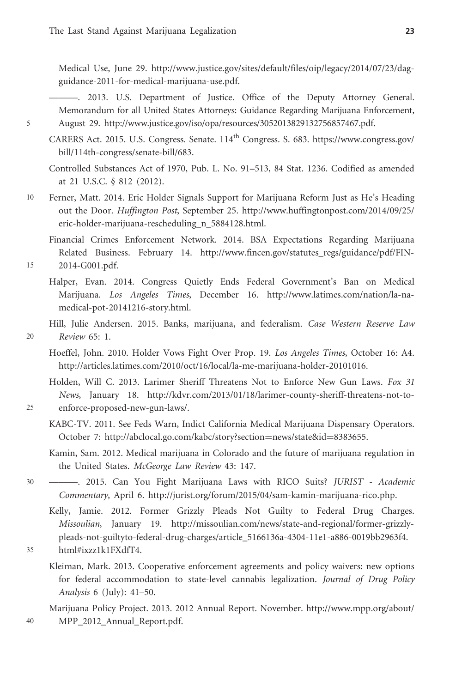<span id="page-24-0"></span>Medical Use, June 29. [http://www.justice.gov/sites/default/files/oip/legacy/2014/07/23/dag](http://www.justice.gov/sites/default/files/oip/legacy/2014/07/23/dag-guidance-2011-for-medical-marijuana-use.pdf)[guidance-2011-for-medical-marijuana-use.pdf](http://www.justice.gov/sites/default/files/oip/legacy/2014/07/23/dag-guidance-2011-for-medical-marijuana-use.pdf).

———. 2013. U.S. Department of Justice. Office of the Deputy Attorney General. Memorandum for all United States Attorneys: Guidance Regarding Marijuana Enforcement, 5 August 29.<http://www.justice.gov/iso/opa/resources/3052013829132756857467.pdf>.

CARERS Act. 2015. U.S. Congress. Senate.  $114^{\text{th}}$  Congress. S. 683. [https://www.congress.gov/](https://www.congress.gov/bill/114th-congress/senate-bill/683) [bill/114th-congress/senate-bill/683](https://www.congress.gov/bill/114th-congress/senate-bill/683).

Controlled Substances Act of 1970, Pub. L. No. 91–513, 84 Stat. 1236. Codified as amended at 21 U.S.C. § 812 (2012).

10 Ferner, Matt. 2014. Eric Holder Signals Support for Marijuana Reform Just as He's Heading out the Door. Huffington Post, September 25. [http://www.huffingtonpost.com/2014/09/25/](http://www.huffingtonpost.com/2014/09/25/eric-holder-marijuana-rescheduling_n_5884128.html) [eric-holder-marijuana-rescheduling\\_n\\_5884128.html.](http://www.huffingtonpost.com/2014/09/25/eric-holder-marijuana-rescheduling_n_5884128.html)

Financial Crimes Enforcement Network. 2014. BSA Expectations Regarding Marijuana Related Business. February 14. [http://www.fincen.gov/statutes\\_regs/guidance/pdf/FIN-](http://www.fincen.gov/statutes_regs/guidance/pdf/FIN-2014-G001.pdf)15 [2014-G001.pdf.](http://www.fincen.gov/statutes_regs/guidance/pdf/FIN-2014-G001.pdf)

- Halper, Evan. 2014. Congress Quietly Ends Federal Government's Ban on Medical Marijuana. Los Angeles Times, December 16. [http://www.latimes.com/nation/la-na](http://www.latimes.com/nation/la-na-medical-pot-20141216-story.html)[medical-pot-20141216-story.html.](http://www.latimes.com/nation/la-na-medical-pot-20141216-story.html)
- Hill, Julie Andersen. 2015. Banks, marijuana, and federalism. Case Western Reserve Law 20 Review 65: 1.
	- Hoeffel, John. 2010. Holder Vows Fight Over Prop. 19. Los Angeles Times, October 16: A4. <http://articles.latimes.com/2010/oct/16/local/la-me-marijuana-holder-20101016>.

Holden, Will C. 2013. Larimer Sheriff Threatens Not to Enforce New Gun Laws. Fox 31 News, January 18. [http://kdvr.com/2013/01/18/larimer-county-sheriff-threatens-not-to-](http://kdvr.com/2013/01/18/larimer-county-sheriff-threatens-not-to-enforce-proposed-new-gun-laws/)25 [enforce-proposed-new-gun-laws/.](http://kdvr.com/2013/01/18/larimer-county-sheriff-threatens-not-to-enforce-proposed-new-gun-laws/)

KABC-TV. 2011. See Feds Warn, Indict California Medical Marijuana Dispensary Operators. October 7: [http://abclocal.go.com/kabc/story?section](http://abclocal.go.com/kabc/story?section=news/state&id=8383655)=[news/state&id](http://abclocal.go.com/kabc/story?section=news/state&id=8383655)=[8383655](http://abclocal.go.com/kabc/story?section=news/state&id=8383655).

Kamin, Sam. 2012. Medical marijuana in Colorado and the future of marijuana regulation in the United States. McGeorge Law Review 43: 147.

30 ———. 2015. Can You Fight Marijuana Laws with RICO Suits? JURIST - Academic Commentary, April 6.<http://jurist.org/forum/2015/04/sam-kamin-marijuana-rico.php>.

Kelly, Jamie. 2012. Former Grizzly Pleads Not Guilty to Federal Drug Charges. Missoulian, January 19. [http://missoulian.com/news/state-and-regional/former-grizzly](http://missoulian.com/news/state-and-regional/former-grizzly-pleads-not-guiltyto-federal-drug-charges/article_5166136a-430411e1-a8860019bb2963f4.html#ixzz1k1FXdfT4)[pleads-not-guiltyto-federal-drug-charges/article\\_5166136a-4304-11e1-a886-0019bb2963f4.](http://missoulian.com/news/state-and-regional/former-grizzly-pleads-not-guiltyto-federal-drug-charges/article_5166136a-430411e1-a8860019bb2963f4.html#ixzz1k1FXdfT4) 35 [html#ixzz1k1FXdfT4.](http://missoulian.com/news/state-and-regional/former-grizzly-pleads-not-guiltyto-federal-drug-charges/article_5166136a-430411e1-a8860019bb2963f4.html#ixzz1k1FXdfT4)

- - Kleiman, Mark. 2013. Cooperative enforcement agreements and policy waivers: new options for federal accommodation to state-level cannabis legalization. Journal of Drug Policy Analysis 6 (July): 41–50.

Marijuana Policy Project. 2013. 2012 Annual Report. November. [http://www.mpp.org/about/](http://www.mpp.org/about/MPP_2012_Annual_Report.pdf) 40 [MPP\\_2012\\_Annual\\_Report.pdf](http://www.mpp.org/about/MPP_2012_Annual_Report.pdf).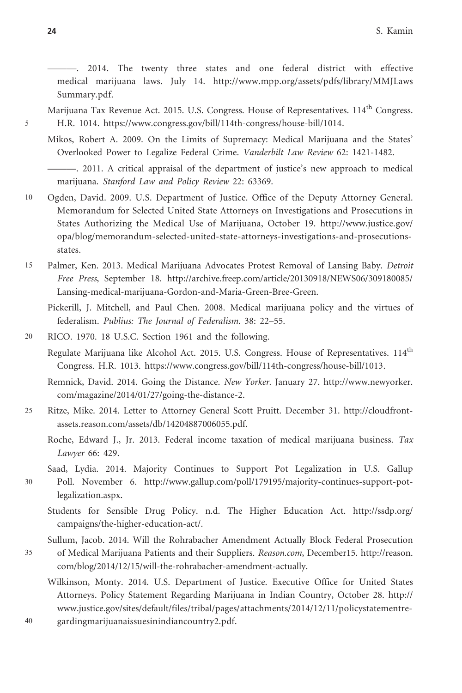<span id="page-25-0"></span>———. 2014. The twenty three states and one federal district with effective medical marijuana laws. July 14. [http://www.mpp.org/assets/pdfs/library/MMJLaws](http://www.mpp.org/assets/pdfs/library/MMJLawsSummary.pdf) [Summary.pdf.](http://www.mpp.org/assets/pdfs/library/MMJLawsSummary.pdf)

Marijuana Tax Revenue Act. 2015. U.S. Congress. House of Representatives. 114<sup>th</sup> Congress. 5 H.R. 1014. [https://www.congress.gov/bill/114th-congress/house-bill/1014.](https://www.congress.gov/bill/114th-congress/house-bill/1014)

Mikos, Robert A. 2009. On the Limits of Supremacy: Medical Marijuana and the States' Overlooked Power to Legalize Federal Crime. Vanderbilt Law Review 62: 1421-1482.

———. 2011. A critical appraisal of the department of justice's new approach to medical marijuana. Stanford Law and Policy Review 22: 63369.

10 Ogden, David. 2009. U.S. Department of Justice. Office of the Deputy Attorney General. Memorandum for Selected United State Attorneys on Investigations and Prosecutions in States Authorizing the Medical Use of Marijuana, October 19. [http://www.justice.gov/](http://www.justice.gov/opa/blog/memorandum-selected-united-state-attorneys-investigations-and-prosecutions-states) [opa/blog/memorandum-selected-united-state-attorneys-investigations-and-prosecutions](http://www.justice.gov/opa/blog/memorandum-selected-united-state-attorneys-investigations-and-prosecutions-states)[states.](http://www.justice.gov/opa/blog/memorandum-selected-united-state-attorneys-investigations-and-prosecutions-states)

15 Palmer, Ken. 2013. Medical Marijuana Advocates Protest Removal of Lansing Baby. Detroit Free Press, September 18. [http://archive.freep.com/article/20130918/NEWS06/309180085/](http://archive.freep.com/article/20130918/NEWS06/309180085/Lansing-medical-marijuana-Gordon-and-Maria-Green-Bree-Green) [Lansing-medical-marijuana-Gordon-and-Maria-Green-Bree-Green.](http://archive.freep.com/article/20130918/NEWS06/309180085/Lansing-medical-marijuana-Gordon-and-Maria-Green-Bree-Green)

Pickerill, J. Mitchell, and Paul Chen. 2008. Medical marijuana policy and the virtues of federalism. Publius: The Journal of Federalism. 38: 22–55.

20 RICO. 1970. 18 U.S.C. Section 1961 and the following.

Regulate Marijuana like Alcohol Act. 2015. U.S. Congress. House of Representatives. 114<sup>th</sup> Congress. H.R. 1013.<https://www.congress.gov/bill/114th-congress/house-bill/1013>.

Remnick, David. 2014. Going the Distance. New Yorker. January 27. [http://www.newyorker.](http://www.newyorker.com/magazine/2014/01/27/going-the-distance-2) [com/magazine/2014/01/27/going-the-distance-2.](http://www.newyorker.com/magazine/2014/01/27/going-the-distance-2)

25 Ritze, Mike. 2014. Letter to Attorney General Scott Pruitt. December 31. [http://cloudfront](http://cloudfront-assets.reason.com/assets/db/14204887006055.pdf)[assets.reason.com/assets/db/14204887006055.pdf.](http://cloudfront-assets.reason.com/assets/db/14204887006055.pdf)

Roche, Edward J., Jr. 2013. Federal income taxation of medical marijuana business. Tax Lawyer 66: 429.

Saad, Lydia. 2014. Majority Continues to Support Pot Legalization in U.S. Gallup

30 Poll. November 6. [http://www.gallup.com/poll/179195/majority-continues-support-pot](http://www.gallup.com/poll/179195/majority-continues-support-pot-legalization.aspx)[legalization.aspx.](http://www.gallup.com/poll/179195/majority-continues-support-pot-legalization.aspx)

Students for Sensible Drug Policy. n.d. The Higher Education Act. [http://ssdp.org/](http://ssdp.org/campaigns/the-higher-education-act/) [campaigns/the-higher-education-act/.](http://ssdp.org/campaigns/the-higher-education-act/)

Sullum, Jacob. 2014. Will the Rohrabacher Amendment Actually Block Federal Prosecution

- 35 of Medical Marijuana Patients and their Suppliers. Reason.com, December15. [http://reason.](http://reason.com/blog/2014/12/15/will-the-rohrabacher-amendment-actually) [com/blog/2014/12/15/will-the-rohrabacher-amendment-actually.](http://reason.com/blog/2014/12/15/will-the-rohrabacher-amendment-actually)
- Wilkinson, Monty. 2014. U.S. Department of Justice. Executive Office for United States Attorneys. Policy Statement Regarding Marijuana in Indian Country, October 28. [http://](http://www.justice.gov/sites/default/files/tribal/pages/attachments/2014/12/11/policystatementregardingmarijuanaissuesinindiancountry2.pdf) [www.justice.gov/sites/default/files/tribal/pages/attachments/2014/12/11/policystatementre-](http://www.justice.gov/sites/default/files/tribal/pages/attachments/2014/12/11/policystatementregardingmarijuanaissuesinindiancountry2.pdf)40 [gardingmarijuanaissuesinindiancountry2.pdf](http://www.justice.gov/sites/default/files/tribal/pages/attachments/2014/12/11/policystatementregardingmarijuanaissuesinindiancountry2.pdf).